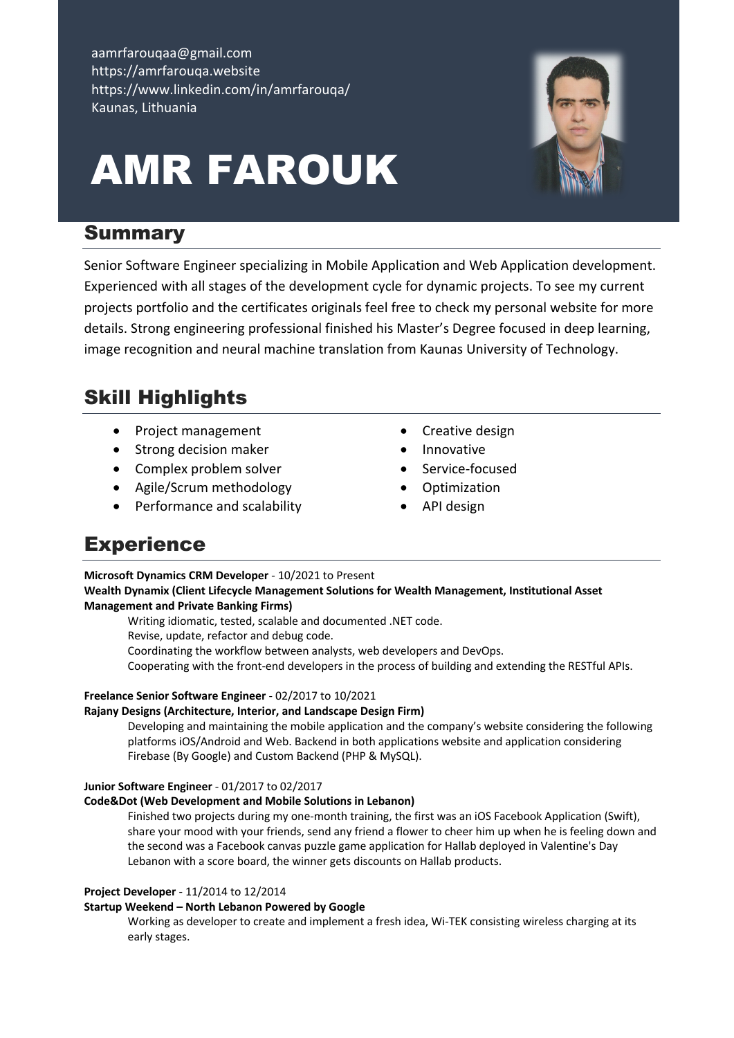aamrfarouqaa@gmail.com https://amrfarouqa.website https://www.linkedin.com/in/amrfarouqa/ Kaunas, Lithuania

# AMR FAROUK



## **Summary**

Senior Software Engineer specializing in Mobile Application and Web Application development. Experienced with all stages of the development cycle for dynamic projects. To see my current projects portfolio and the certificates originals feel free to check my personal website for more details. Strong engineering professional finished his Master's Degree focused in deep learning, image recognition and neural machine translation from Kaunas University of Technology.

# Skill Highlights

- Project management
- Strong decision maker
- Complex problem solver
- Agile/Scrum methodology
- Performance and scalability
- Creative design
- Innovative
- Service-focused
- Optimization
- API design

## **Experience**

**Microsoft Dynamics CRM Developer** - 10/2021 to Present

**Wealth Dynamix (Client Lifecycle Management Solutions for Wealth Management, Institutional Asset Management and Private Banking Firms)**

Writing idiomatic, tested, scalable and documented .NET code. Revise, update, refactor and debug code. Coordinating the workflow between analysts, web developers and DevOps. Cooperating with the front-end developers in the process of building and extending the RESTful APIs.

#### **Freelance Senior Software Engineer** - 02/2017 to 10/2021

#### **Rajany Designs (Architecture, Interior, and Landscape Design Firm)**

Developing and maintaining the mobile application and the company's website considering the following platforms iOS/Android and Web. Backend in both applications website and application considering Firebase (By Google) and Custom Backend (PHP & MySQL).

#### **Junior Software Engineer** - 01/2017 to 02/2017

#### **Code&Dot (Web Development and Mobile Solutions in Lebanon)**

Finished two projects during my one-month training, the first was an iOS Facebook Application (Swift), share your mood with your friends, send any friend a flower to cheer him up when he is feeling down and the second was a Facebook canvas puzzle game application for Hallab deployed in Valentine's Day Lebanon with a score board, the winner gets discounts on Hallab products.

#### **Project Developer** - 11/2014 to 12/2014

#### **Startup Weekend – North Lebanon Powered by Google**

Working as developer to create and implement a fresh idea, Wi-TEK consisting wireless charging at its early stages.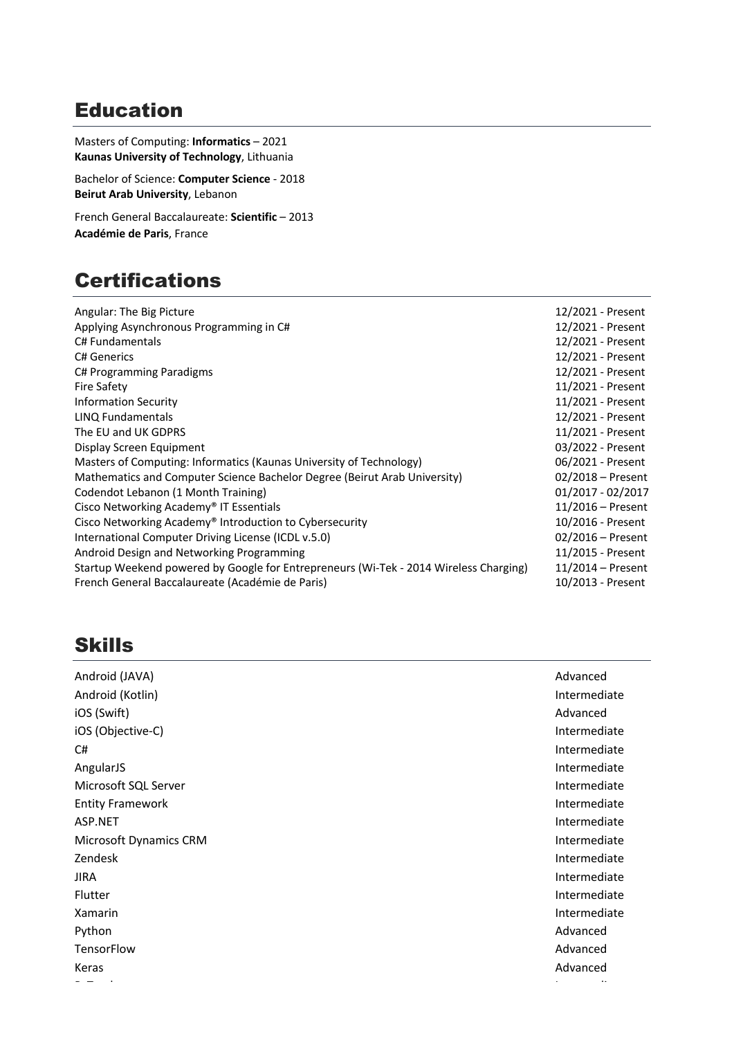## Education

Masters of Computing: **Informatics** – 2021 **Kaunas University of Technology**, Lithuania

Bachelor of Science: **Computer Science** - 2018 **Beirut Arab University**, Lebanon

French General Baccalaureate: **Scientific** – 2013 **Académie de Paris**, France

## **Certifications**

| Angular: The Big Picture                                                              | 12/2021 - Present   |
|---------------------------------------------------------------------------------------|---------------------|
| Applying Asynchronous Programming in C#                                               | 12/2021 - Present   |
| C# Fundamentals                                                                       | 12/2021 - Present   |
| <b>C# Generics</b>                                                                    | 12/2021 - Present   |
| C# Programming Paradigms                                                              | 12/2021 - Present   |
| Fire Safety                                                                           | 11/2021 - Present   |
| <b>Information Security</b>                                                           | 11/2021 - Present   |
| LINQ Fundamentals                                                                     | 12/2021 - Present   |
| The EU and UK GDPRS                                                                   | 11/2021 - Present   |
| Display Screen Equipment                                                              | 03/2022 - Present   |
| Masters of Computing: Informatics (Kaunas University of Technology)                   | 06/2021 - Present   |
| Mathematics and Computer Science Bachelor Degree (Beirut Arab University)             | 02/2018 - Present   |
| Codendot Lebanon (1 Month Training)                                                   | 01/2017 - 02/2017   |
| Cisco Networking Academy® IT Essentials                                               | $11/2016$ – Present |
| Cisco Networking Academy® Introduction to Cybersecurity                               | 10/2016 - Present   |
| International Computer Driving License (ICDL v.5.0)                                   | $02/2016$ – Present |
| Android Design and Networking Programming                                             | 11/2015 - Present   |
| Startup Weekend powered by Google for Entrepreneurs (Wi-Tek - 2014 Wireless Charging) | $11/2014$ – Present |
| French General Baccalaureate (Académie de Paris)                                      | 10/2013 - Present   |

## Skills

| Android (JAVA)          | Advanced     |
|-------------------------|--------------|
| Android (Kotlin)        | Intermediate |
| iOS (Swift)             | Advanced     |
| iOS (Objective-C)       | Intermediate |
| C#                      | Intermediate |
| AngularJS               | Intermediate |
| Microsoft SQL Server    | Intermediate |
| <b>Entity Framework</b> | Intermediate |
| ASP.NET                 | Intermediate |
| Microsoft Dynamics CRM  | Intermediate |
| Zendesk                 | Intermediate |
| <b>JIRA</b>             | Intermediate |
| Flutter                 | Intermediate |
| Xamarin                 | Intermediate |
| Python                  | Advanced     |
| TensorFlow              | Advanced     |
| Keras                   | Advanced     |
|                         |              |